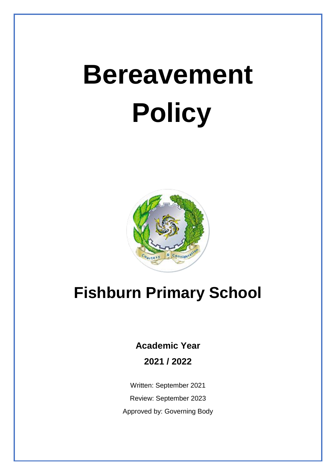# **Bereavement Policy**



# **Fishburn Primary School**

**Academic Year 2021 / 2022**

Written: September 2021 Review: September 2023 Approved by: Governing Body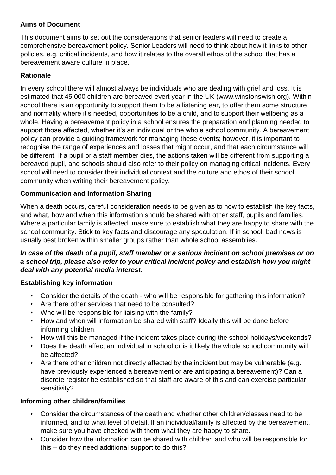#### **Aims of Document**

This document aims to set out the considerations that senior leaders will need to create a comprehensive bereavement policy. Senior Leaders will need to think about how it links to other policies, e.g. critical incidents, and how it relates to the overall ethos of the school that has a bereavement aware culture in place.

#### **Rationale**

In every school there will almost always be individuals who are dealing with grief and loss. It is estimated that 45,000 children are bereaved evert year in the UK (www.winstonswish.org). Within school there is an opportunity to support them to be a listening ear, to offer them some structure and normality where it's needed, opportunities to be a child, and to support their wellbeing as a whole. Having a bereavement policy in a school ensures the preparation and planning needed to support those affected, whether it's an individual or the whole school community. A bereavement policy can provide a guiding framework for managing these events; however, it is important to recognise the range of experiences and losses that might occur, and that each circumstance will be different. If a pupil or a staff member dies, the actions taken will be different from supporting a bereaved pupil, and schools should also refer to their policy on managing critical incidents. Every school will need to consider their individual context and the culture and ethos of their school community when writing their bereavement policy.

#### **Communication and Information Sharing**

When a death occurs, careful consideration needs to be given as to how to establish the key facts, and what, how and when this information should be shared with other staff, pupils and families. Where a particular family is affected, make sure to establish what they are happy to share with the school community. Stick to key facts and discourage any speculation. If in school, bad news is usually best broken within smaller groups rather than whole school assemblies.

#### *In case of the death of a pupil, staff member or a serious incident on school premises or on a school trip, please also refer to your critical incident policy and establish how you might deal with any potential media interest.*

#### **Establishing key information**

- Consider the details of the death who will be responsible for gathering this information?
- Are there other services that need to be consulted?
- Who will be responsible for liaising with the family?
- How and when will information be shared with staff? Ideally this will be done before informing children.
- How will this be managed if the incident takes place during the school holidays/weekends?
- Does the death affect an individual in school or is it likely the whole school community will be affected?
- Are there other children not directly affected by the incident but may be vulnerable (e.g. have previously experienced a bereavement or are anticipating a bereavement)? Can a discrete register be established so that staff are aware of this and can exercise particular sensitivity?

#### **Informing other children/families**

- Consider the circumstances of the death and whether other children/classes need to be informed, and to what level of detail. If an individual/family is affected by the bereavement, make sure you have checked with them what they are happy to share.
- Consider how the information can be shared with children and who will be responsible for this – do they need additional support to do this?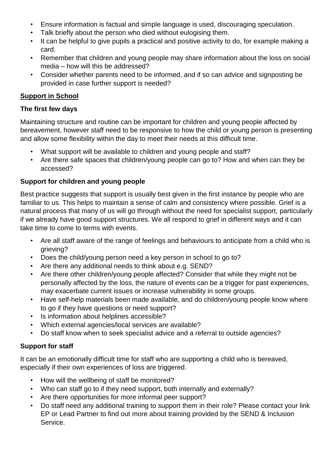- Ensure information is factual and simple language is used, discouraging speculation.
- Talk briefly about the person who died without eulogising them.
- It can be helpful to give pupils a practical and positive activity to do, for example making a card.
- Remember that children and young people may share information about the loss on social media – how will this be addressed?
- Consider whether parents need to be informed, and if so can advice and signposting be provided in case further support is needed?

#### **Support in School**

#### **The first few days**

Maintaining structure and routine can be important for children and young people affected by bereavement, however staff need to be responsive to how the child or young person is presenting and allow some flexibility within the day to meet their needs at this difficult time.

- What support will be available to children and young people and staff?
- Are there safe spaces that children/young people can go to? How and when can they be accessed?

#### **Support for children and young people**

Best practice suggests that support is usually best given in the first instance by people who are familiar to us. This helps to maintain a sense of calm and consistency where possible. Grief is a natural process that many of us will go through without the need for specialist support, particularly if we already have good support structures. We all respond to grief in different ways and it can take time to come to terms with events.

- Are all staff aware of the range of feelings and behaviours to anticipate from a child who is grieving?
- Does the child/voung person need a key person in school to go to?
- Are there any additional needs to think about e.g. SEND?
- Are there other children/young people affected? Consider that while they might not be personally affected by the loss, the nature of events can be a trigger for past experiences, may exacerbate current issues or increase vulnerability in some groups.
- Have self-help materials been made available, and do children/young people know where to go if they have questions or need support?
- Is information about helplines accessible?
- Which external agencies/local services are available?
- Do staff know when to seek specialist advice and a referral to outside agencies?

#### **Support for staff**

It can be an emotionally difficult time for staff who are supporting a child who is bereaved, especially if their own experiences of loss are triggered.

- How will the wellbeing of staff be monitored?
- Who can staff go to if they need support, both internally and externally?
- Are there opportunities for more informal peer support?
- Do staff need any additional training to support them in their role? Please contact your link EP or Lead Partner to find out more about training provided by the SEND & Inclusion Service.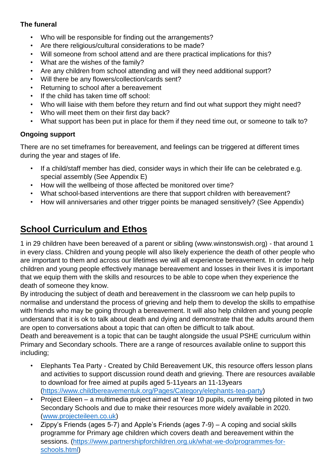#### **The funeral**

- Who will be responsible for finding out the arrangements?
- Are there religious/cultural considerations to be made?
- Will someone from school attend and are there practical implications for this?
- What are the wishes of the family?
- Are any children from school attending and will they need additional support?
- Will there be any flowers/collection/cards sent?
- Returning to school after a bereavement
- If the child has taken time off school:
- Who will liaise with them before they return and find out what support they might need?
- Who will meet them on their first day back?
- What support has been put in place for them if they need time out, or someone to talk to?

#### **Ongoing support**

There are no set timeframes for bereavement, and feelings can be triggered at different times during the year and stages of life.

- If a child/staff member has died, consider ways in which their life can be celebrated e.g. special assembly (See Appendix E)
- How will the wellbeing of those affected be monitored over time?
- What school-based interventions are there that support children with bereavement?
- How will anniversaries and other trigger points be managed sensitively? (See Appendix)

### **School Curriculum and Ethos**

1 in 29 children have been bereaved of a parent or sibling (www.winstonswish.org) - that around 1 in every class. Children and young people will also likely experience the death of other people who are important to them and across our lifetimes we will all experience bereavement. In order to help children and young people effectively manage bereavement and losses in their lives it is important that we equip them with the skills and resources to be able to cope when they experience the death of someone they know.

By introducing the subject of death and bereavement in the classroom we can help pupils to normalise and understand the process of grieving and help them to develop the skills to empathise with friends who may be going through a bereavement. It will also help children and young people understand that it is ok to talk about death and dying and demonstrate that the adults around them are open to conversations about a topic that can often be difficult to talk about.

Death and bereavement is a topic that can be taught alongside the usual PSHE curriculum within Primary and Secondary schools. There are a range of resources available online to support this including;

- Elephants Tea Party Created by Child Bereavement UK, this resource offers lesson plans and activities to support discussion round death and grieving. There are resources available to download for free aimed at pupils aged 5-11years an 11-13years [\(https://www.childbereavementuk.org/Pages/Category/elephants-tea-party\)](https://www.childbereavementuk.org/Pages/Category/elephants-tea-party)
- Project Eileen a multimedia project aimed at Year 10 pupils, currently being piloted in two Secondary Schools and due to make their resources more widely available in 2020. [\(www.projecteileen.co.uk\)](http://www.projecteileen.co.uk/)
- Zippy's Friends (ages 5-7) and Apple's Friends (ages 7-9) A coping and social skills programme for Primary age children which covers death and bereavement within the sessions. [\(https://www.partnershipforchildren.org.uk/what-we-do/programmes-for](https://www.partnershipforchildren.org.uk/what-we-do/programmes-for-schools.html)[schools.html\)](https://www.partnershipforchildren.org.uk/what-we-do/programmes-for-schools.html)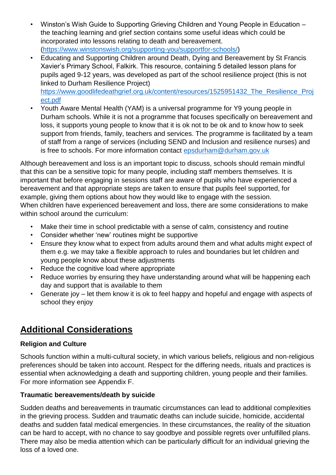- Winston's Wish Guide to Supporting Grieving Children and Young People in Education the teaching learning and grief section contains some useful ideas which could be incorporated into lessons relating to death and bereavement. [\(https://www.winstonswish.org/supporting-you/supportfor-schools/\)](https://www.winstonswish.org/supporting-you/supportfor-schools/)
- Educating and Supporting Children around Death, Dying and Bereavement by St Francis Xavier's Primary School, Falkirk. This resource, containing 5 detailed lesson plans for pupils aged 9-12 years, was developed as part of the school resilience project (this is not linked to Durham Resilience Project)

[https://www.goodlifedeathgrief.org.uk/content/resources/1525951432\\_The\\_Resilience\\_Proj](https://www.goodlifedeathgrief.org.uk/content/resources/1525951432_The_Resilience_Project.pdf) [ect.pdf](https://www.goodlifedeathgrief.org.uk/content/resources/1525951432_The_Resilience_Project.pdf)

• Youth Aware Mental Health (YAM) is a universal programme for Y9 young people in Durham schools. While it is not a programme that focuses specifically on bereavement and loss, it supports young people to know that it is ok not to be ok and to know how to seek support from friends, family, teachers and services. The programme is facilitated by a team of staff from a range of services (including SEND and Inclusion and resilience nurses) and is free to schools. For more information contact [epsdurham@durham.gov.uk](mailto:epsdurham@durham.gov.uk)

Although bereavement and loss is an important topic to discuss, schools should remain mindful that this can be a sensitive topic for many people, including staff members themselves. It is important that before engaging in sessions staff are aware of pupils who have experienced a bereavement and that appropriate steps are taken to ensure that pupils feel supported, for example, giving them options about how they would like to engage with the session. When children have experienced bereavement and loss, there are some considerations to make within school around the curriculum:

- Make their time in school predictable with a sense of calm, consistency and routine
- Consider whether 'new' routines might be supportive
- Ensure they know what to expect from adults around them and what adults might expect of them e.g. we may take a flexible approach to rules and boundaries but let children and young people know about these adjustments
- Reduce the cognitive load where appropriate
- Reduce worries by ensuring they have understanding around what will be happening each day and support that is available to them
- Generate joy let them know it is ok to feel happy and hopeful and engage with aspects of school they enjoy

# **Additional Considerations**

#### **Religion and Culture**

Schools function within a multi-cultural society, in which various beliefs, religious and non-religious preferences should be taken into account. Respect for the differing needs, rituals and practices is essential when acknowledging a death and supporting children, young people and their families. For more information see Appendix F.

#### **Traumatic bereavements/death by suicide**

Sudden deaths and bereavements in traumatic circumstances can lead to additional complexities in the grieving process. Sudden and traumatic deaths can include suicide, homicide, accidental deaths and sudden fatal medical emergencies. In these circumstances, the reality of the situation can be hard to accept, with no chance to say goodbye and possible regrets over unfulfilled plans. There may also be media attention which can be particularly difficult for an individual grieving the loss of a loved one.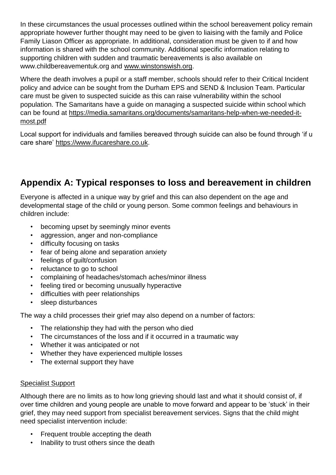In these circumstances the usual processes outlined within the school bereavement policy remain appropriate however further thought may need to be given to liaising with the family and Police Family Liason Officer as appropriate. In additional, consideration must be given to if and how information is shared with the school community. Additional specific information relating to supporting children with sudden and traumatic bereavements is also available on www.childbereavementuk.org and [www.winstonswish.org.](http://www.winstonswish.org/)

Where the death involves a pupil or a staff member, schools should refer to their Critical Incident policy and advice can be sought from the Durham EPS and SEND & Inclusion Team. Particular care must be given to suspected suicide as this can raise vulnerability within the school population. The Samaritans have a guide on managing a suspected suicide within school which can be found at [https://media.samaritans.org/documents/samaritans-help-when-we-needed-it](https://media.samaritans.org/documents/samaritans-help-when-we-needed-it-most.pdf)[most.pdf](https://media.samaritans.org/documents/samaritans-help-when-we-needed-it-most.pdf)

Local support for individuals and families bereaved through suicide can also be found through 'if u care share' [https://www.ifucareshare.co.uk.](https://www.ifucareshare.co.uk/)

## **Appendix A: Typical responses to loss and bereavement in children**

Everyone is affected in a unique way by grief and this can also dependent on the age and developmental stage of the child or young person. Some common feelings and behaviours in children include:

- becoming upset by seemingly minor events
- aggression, anger and non-compliance
- difficulty focusing on tasks
- fear of being alone and separation anxiety
- feelings of guilt/confusion
- reluctance to go to school
- complaining of headaches/stomach aches/minor illness
- feeling tired or becoming unusually hyperactive
- difficulties with peer relationships
- sleep disturbances

The way a child processes their grief may also depend on a number of factors:

- The relationship they had with the person who died
- The circumstances of the loss and if it occurred in a traumatic way
- Whether it was anticipated or not
- Whether they have experienced multiple losses
- The external support they have

#### Specialist Support

Although there are no limits as to how long grieving should last and what it should consist of, if over time children and young people are unable to move forward and appear to be 'stuck' in their grief, they may need support from specialist bereavement services. Signs that the child might need specialist intervention include:

- Frequent trouble accepting the death
- Inability to trust others since the death